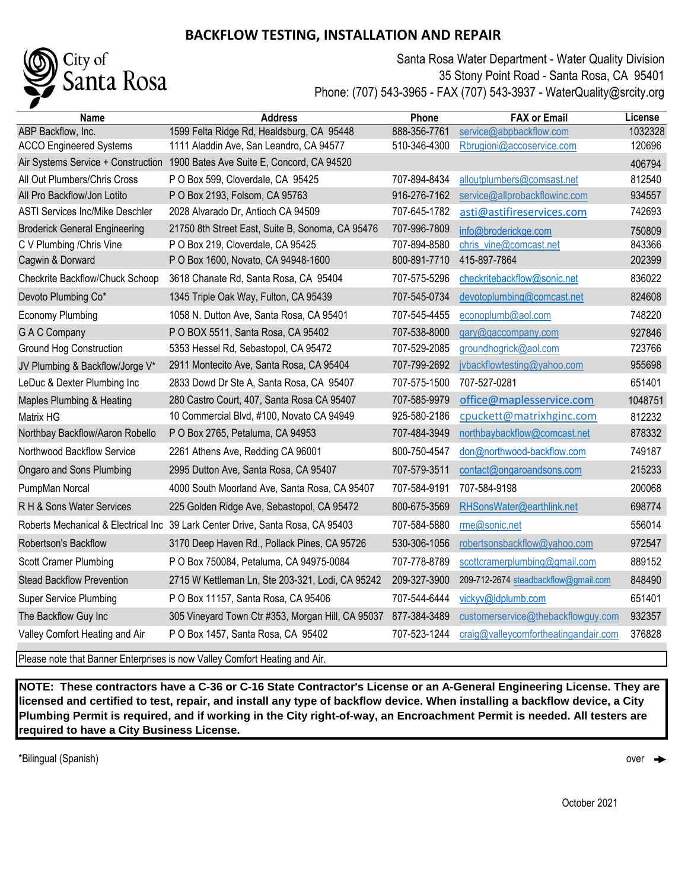## **BACKFLOW TESTING, INSTALLATION AND REPAIR**



Santa Rosa Water Department - Water Quality Division 35 Stony Point Road - Santa Rosa, CA 95401 Phone: (707) 543-3965 - FAX (707) 543-3937 - WaterQuality@srcity.org

| Name                                   | <b>Address</b>                                                                 | Phone        | <b>FAX or Email</b>                  | License |
|----------------------------------------|--------------------------------------------------------------------------------|--------------|--------------------------------------|---------|
| ABP Backflow, Inc.                     | 1599 Felta Ridge Rd, Healdsburg, CA 95448                                      | 888-356-7761 | service@abpbackflow.com              | 1032328 |
| <b>ACCO Engineered Systems</b>         | 1111 Aladdin Ave, San Leandro, CA 94577                                        | 510-346-4300 | Rbrugioni@accoservice.com            | 120696  |
|                                        | Air Systems Service + Construction 1900 Bates Ave Suite E, Concord, CA 94520   |              |                                      | 406794  |
| All Out Plumbers/Chris Cross           | P O Box 599, Cloverdale, CA 95425                                              | 707-894-8434 | alloutplumbers@comsast.net           | 812540  |
| All Pro Backflow/Jon Lotito            | P O Box 2193, Folsom, CA 95763                                                 | 916-276-7162 | service@allprobackflowinc.com        | 934557  |
| <b>ASTI Services Inc/Mike Deschler</b> | 2028 Alvarado Dr, Antioch CA 94509                                             | 707-645-1782 | asti@astifireservices.com            | 742693  |
| <b>Broderick General Engineering</b>   | 21750 8th Street East, Suite B, Sonoma, CA 95476                               | 707-996-7809 | info@broderickge.com                 | 750809  |
| C V Plumbing / Chris Vine              | P O Box 219, Cloverdale, CA 95425                                              | 707-894-8580 | chris_vine@comcast.net               | 843366  |
| Cagwin & Dorward                       | P O Box 1600, Novato, CA 94948-1600                                            | 800-891-7710 | 415-897-7864                         | 202399  |
| Checkrite Backflow/Chuck Schoop        | 3618 Chanate Rd, Santa Rosa, CA 95404                                          | 707-575-5296 | checkritebackflow@sonic.net          | 836022  |
| Devoto Plumbing Co*                    | 1345 Triple Oak Way, Fulton, CA 95439                                          | 707-545-0734 | devotoplumbing@comcast.net           | 824608  |
| <b>Economy Plumbing</b>                | 1058 N. Dutton Ave, Santa Rosa, CA 95401                                       | 707-545-4455 | econoplumb@aol.com                   | 748220  |
| <b>GAC</b> Company                     | P O BOX 5511, Santa Rosa, CA 95402                                             | 707-538-8000 | gary@gaccompany.com                  | 927846  |
| Ground Hog Construction                | 5353 Hessel Rd, Sebastopol, CA 95472                                           | 707-529-2085 | groundhogrick@aol.com                | 723766  |
| JV Plumbing & Backflow/Jorge V*        | 2911 Montecito Ave, Santa Rosa, CA 95404                                       | 707-799-2692 | jvbackflowtesting@yahoo.com          | 955698  |
| LeDuc & Dexter Plumbing Inc            | 2833 Dowd Dr Ste A, Santa Rosa, CA 95407                                       | 707-575-1500 | 707-527-0281                         | 651401  |
| Maples Plumbing & Heating              | 280 Castro Court, 407, Santa Rosa CA 95407                                     | 707-585-9979 | office@maplesservice.com             | 1048751 |
| Matrix HG                              | 10 Commercial Blvd, #100, Novato CA 94949                                      | 925-580-2186 | cpuckett@matrixhginc.com             | 812232  |
| Northbay Backflow/Aaron Robello        | P O Box 2765, Petaluma, CA 94953                                               | 707-484-3949 | northbaybackflow@comcast.net         | 878332  |
| Northwood Backflow Service             | 2261 Athens Ave, Redding CA 96001                                              | 800-750-4547 | don@northwood-backflow.com           | 749187  |
| Ongaro and Sons Plumbing               | 2995 Dutton Ave, Santa Rosa, CA 95407                                          | 707-579-3511 | contact@ongaroandsons.com            | 215233  |
| PumpMan Norcal                         | 4000 South Moorland Ave, Santa Rosa, CA 95407                                  | 707-584-9191 | 707-584-9198                         | 200068  |
| R H & Sons Water Services              | 225 Golden Ridge Ave, Sebastopol, CA 95472                                     | 800-675-3569 | RHSonsWater@earthlink.net            | 698774  |
|                                        | Roberts Mechanical & Electrical Inc 39 Lark Center Drive, Santa Rosa, CA 95403 | 707-584-5880 | rme@sonic.net                        | 556014  |
| Robertson's Backflow                   | 3170 Deep Haven Rd., Pollack Pines, CA 95726                                   | 530-306-1056 | robertsonsbackflow@yahoo.com         | 972547  |
| Scott Cramer Plumbing                  | P O Box 750084, Petaluma, CA 94975-0084                                        | 707-778-8789 | scottcramerplumbing@gmail.com        | 889152  |
| <b>Stead Backflow Prevention</b>       | 2715 W Kettleman Ln, Ste 203-321, Lodi, CA 95242                               | 209-327-3900 | 209-712-2674 steadbackflow@gmail.com | 848490  |
| <b>Super Service Plumbing</b>          | P O Box 11157, Santa Rosa, CA 95406                                            | 707-544-6444 | vickyv@ldplumb.com                   | 651401  |
| The Backflow Guy Inc                   | 305 Vineyard Town Ctr #353, Morgan Hill, CA 95037                              | 877-384-3489 | customerservice@thebackflowguy.com   | 932357  |
| Valley Comfort Heating and Air         | P O Box 1457, Santa Rosa, CA 95402                                             | 707-523-1244 | craig@valleycomfortheatingandair.com | 376828  |
|                                        |                                                                                |              |                                      |         |

Please note that Banner Enterprises is now Valley Comfort Heating and Air.

**NOTE: These contractors have a C-36 or C-16 State Contractor's License or an A-General Engineering License. They are licensed and certified to test, repair, and install any type of backflow device. When installing a backflow device, a City Plumbing Permit is required, and if working in the City right-of-way, an Encroachment Permit is needed. All testers are required to have a City Business License.**

\*Bilingual (Spanish) over